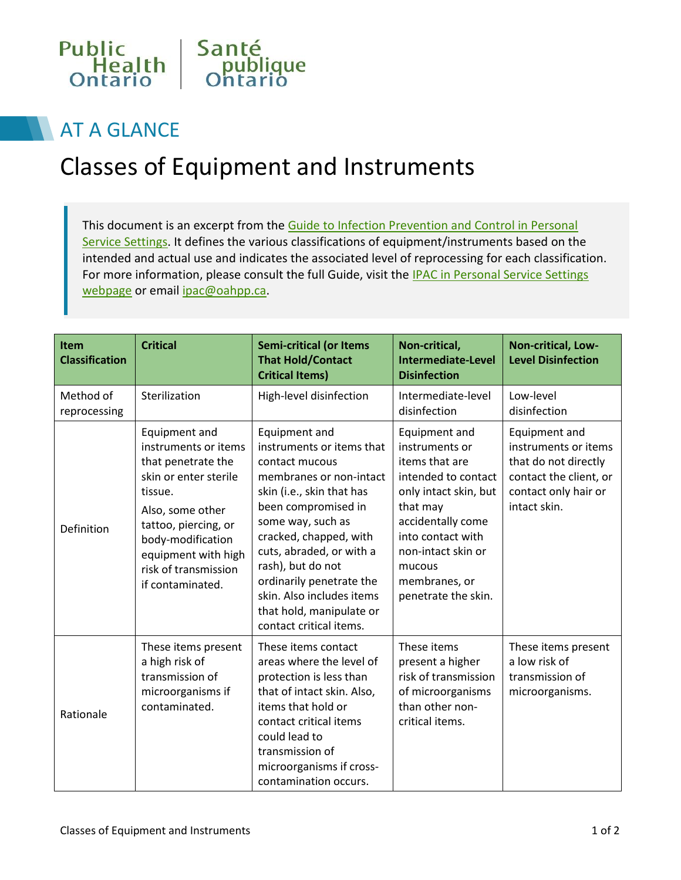

## AT A GLANCE

## Classes of Equipment and Instruments

This document is an excerpt from the Guide to Infection Prevention and Control in Personal [Service Settings.](https://www.publichealthontario.ca/en/eRepository/guide-ipac-personal-service-settings.pdf) It defines the various classifications of equipment/instruments based on the intended and actual use and indicates the associated level of reprocessing for each classification. For more information, please consult the full Guide, visit the IPAC in Personal Service Settings [webpage](https://www.publichealthontario.ca/en/BrowseByTopic/IPAC/Pages/Personal-Service-Settings.aspx) or email ipac@oahpp.ca.

| Item<br><b>Classification</b> | <b>Critical</b>                                                                                                                                                                                                                     | <b>Semi-critical (or Items</b><br><b>That Hold/Contact</b><br><b>Critical Items)</b>                                                                                                                                                                                                                                                                        | Non-critical,<br><b>Intermediate-Level</b><br><b>Disinfection</b>                                                                                                                                                               | Non-critical, Low-<br><b>Level Disinfection</b>                                                                                 |
|-------------------------------|-------------------------------------------------------------------------------------------------------------------------------------------------------------------------------------------------------------------------------------|-------------------------------------------------------------------------------------------------------------------------------------------------------------------------------------------------------------------------------------------------------------------------------------------------------------------------------------------------------------|---------------------------------------------------------------------------------------------------------------------------------------------------------------------------------------------------------------------------------|---------------------------------------------------------------------------------------------------------------------------------|
| Method of<br>reprocessing     | Sterilization                                                                                                                                                                                                                       | High-level disinfection                                                                                                                                                                                                                                                                                                                                     | Intermediate-level<br>disinfection                                                                                                                                                                                              | Low-level<br>disinfection                                                                                                       |
| Definition                    | Equipment and<br>instruments or items<br>that penetrate the<br>skin or enter sterile<br>tissue.<br>Also, some other<br>tattoo, piercing, or<br>body-modification<br>equipment with high<br>risk of transmission<br>if contaminated. | Equipment and<br>instruments or items that<br>contact mucous<br>membranes or non-intact<br>skin (i.e., skin that has<br>been compromised in<br>some way, such as<br>cracked, chapped, with<br>cuts, abraded, or with a<br>rash), but do not<br>ordinarily penetrate the<br>skin. Also includes items<br>that hold, manipulate or<br>contact critical items. | Equipment and<br>instruments or<br>items that are<br>intended to contact<br>only intact skin, but<br>that may<br>accidentally come<br>into contact with<br>non-intact skin or<br>mucous<br>membranes, or<br>penetrate the skin. | Equipment and<br>instruments or items<br>that do not directly<br>contact the client, or<br>contact only hair or<br>intact skin. |
| Rationale                     | These items present<br>a high risk of<br>transmission of<br>microorganisms if<br>contaminated.                                                                                                                                      | These items contact<br>areas where the level of<br>protection is less than<br>that of intact skin. Also,<br>items that hold or<br>contact critical items<br>could lead to<br>transmission of<br>microorganisms if cross-<br>contamination occurs.                                                                                                           | These items<br>present a higher<br>risk of transmission<br>of microorganisms<br>than other non-<br>critical items.                                                                                                              | These items present<br>a low risk of<br>transmission of<br>microorganisms.                                                      |